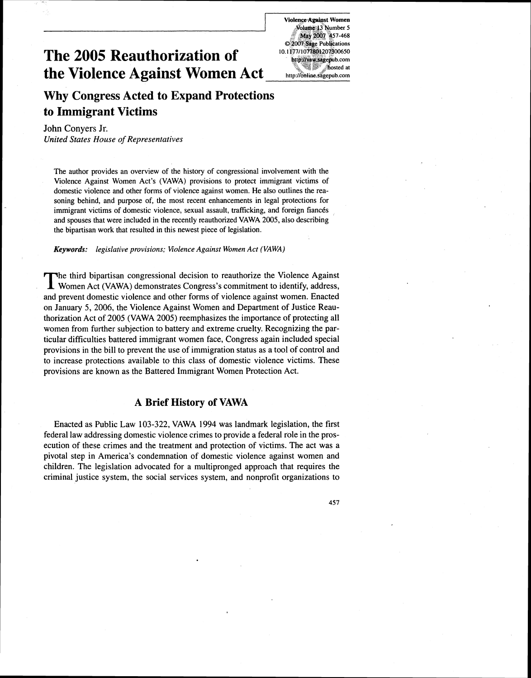# **The 2005 Reauthorization of** <sup>10.1177/1077801207300650</sup><br> **the Violence Against Women Act** http://online.sigepub.com the Violence Against Women Act

1 **Violence Against Women**  Volume13 Number 5 May **2007** 457-468 © 2007 Sage Publications<br>10.1177/1077801207300650

# **Why Congress Acted to Expand Protections to Immigrant Victims**

John Conyers Jr. *United States House of Representatives* 

The author provides an overview of the history of congressional involvement with the Violence Against Women Act's (VAWA) provisions to protect immigrant victims of domestic violence and other forms of violence against women. He also outlines the reasoning behind, and purpose of, the most recent enhancements in legal protections for immigrant victims of domestic violence, sexual assault, trafficking, and foreign fiancés and spouses that were included in the recently reauthorized VAWA 2005, also describing the bipartisan work that resulted in this newest piece of legislation.

#### Keywords: legislative provisions; Violence Against Women Act (VAWA)

The third bipartisan congressional decision to reauthorize the Violence Against Women Act (VAWA) demonstrates Congress's commitment to identify, address, and prevent domestic violence and other forms of violence against women. Enacted on January 5, 2006, the Violence Against Women and Department of Justice Reauthorization Act of 2005 (VAWA 2005) reemphasizes the importance of protecting all women from further subjection to battery and extreme cruelty. Recognizing the particular difficulties battered immigrant women face, Congress again included special provisions in the bill to prevent the use of immigration status as a tool of control and to increase protections available to this class of domestic violence victims. These provisions are known as the Battered Immigrant Women Protection Act.

# **A Brief History of VAWA**

Enacted as Public Law 103-322, VAWA 1994 was landmark legislation, the first federal law addressing domestic violence crimes to provide a federal role in the prosecution of these crimes and the treatment and protection of victims. The act was a pivotal step in America's condemnation of domestic violence against women and children. The legislation advocated for a multipronged approach that requires the criminal justice system, the social services system, and nonprofit organizations to

457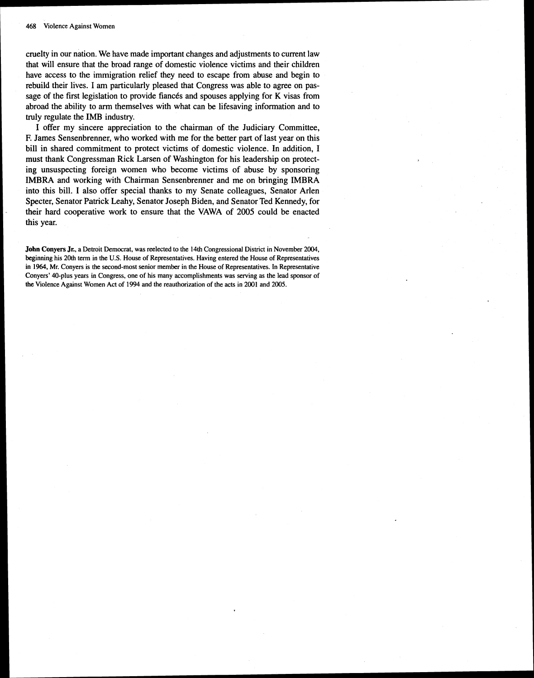cruelty in our nation. We have made important changes and adjustments to current law that will ensure that the broad range of domestic violence victims and their children have access to the immigration relief they need to escape from abuse and begin to rebuild their lives. I am particularly pleased that Congress was able to agree on passage of the first legislation to provide fiancés and spouses applying for K visas from abroad the ability to arm themselves with what can be lifesaving information and to truly regulate the IMB industry.

I offer my sincere appreciation to the chairman of the Judiciary Committee, F. James Sensenbrenner, who worked with me for the better part of last year on this bill in shared commitment to protect victims of domestic violence. In addition, I must thank Congressman Rick Larsen of Washington for his leadership on protecting unsuspecting foreign women who become victims of abuse by sponsoring IMBRA and working with Chairman Sensenbrenner and me on bringing IMBRA into this bill. I also offer special thanks to my Senate colleagues, Senator Arlen Specter, Senator Patrick Leahy, Senator Joseph Biden, and Senator Ted Kennedy, for their hard cooperative work to ensure that the VAWA of 2005 could be enacted this year.

John Conyers Jr., a Detroit Democrat, was reelected to the 14th Congressional District in November 2004, beginning his 20th term in the U.S. House of Representatives. Having entered the House of Representatives in 1964, Mr. Conyers is the second-most senior member in the House of Representatives. In Representative Conyers' 40-plus years in Congress, one of his many accomplishments was serving as the lead sponsor of the Violence Against Women Act of 1994 and the reauthorization of the acts in 2001 and 2005.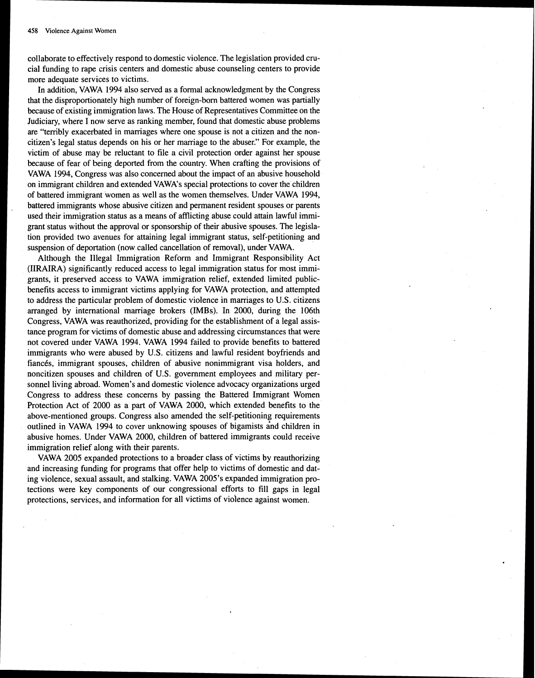collaborate to effectively respond to domestic violence. The legislation provided crucial funding to rape crisis centers and domestic abuse counseling centers to provide more adequate services to victims.

In addition, VAWA 1994 also served as a formal acknowledgment by the Congress that the disproportionately high number of foreign-born battered women was partially because of existing immigration laws. The House of Representatives Committee on the Judiciary, where I now serve as ranking member, found that domestic abuse problems are "tembly exacerbated in marriages where one spouse is not a citizen and the noncitizen's legal status depends on his or her marriage to the abuser." For example, the victim of abuse may be reluctant to file a civil protection order against her spouse because of fear of being deported from the country. When crafting the provisions of VAWA 1994, Congress was also concerned about the impact of an abusive household on immigrant children and extended VAWA's special protections to cover the children of battered immigrant women as well as the women themselves. Under VAWA 1994, battered immigrants whose abusive citizen and permanent resident spouses or parents used their immigration status as a means of afflicting abuse could attain lawful immigrant status without the approval or sponsorship of their abusive spouses. The legislation provided two avenues for attaining legal immigrant status, self-petitioning and suspension of deportation (now called cancellation of removal), under VAWA.

Although the Illegal Immigration Reform and Immigrant Responsibility Act (IIRAIRA) significantly reduced access to legal immigration status for most immigrants, it preserved access to VAWA immigration relief, extended limited publicbenefits access to immigrant victims applying for VAWA protection, and attempted to address the particular problem of domestic violence in marriages to U.S. citizens arranged by international marriage brokers (IMBs). In 2000, during the 106th Congress, VAWA was reauthorized, providing for the establishment of a legal assistance program for victims of domestic abuse and addressing circumstances that were not covered under VAWA 1994. VAWA 1994 failed to provide benefits to battered immigrants who were abused by U.S. citizens and lawful resident boyfriends and fiancés, immigrant spouses, children of abusive nonimmigrant visa holders, and noncitizen spouses and children of U.S. government employees and military personnel living abroad. Women's and domestic violence advocacy organizations urged Congress to address these concerns by passing the Battered Immigrant Women Protection Act of 2000 as a part of VAWA 2000, which extended benefits to the above-mentioned groups. Congress also amended the self-petitioning requirements outlined in VAWA 1994 to cover unknowing spouses of bigamists and children in abusive homes. Under VAWA 2000, children of battered immigrants could receive immigration relief along with their parents.

VAWA 2005 expanded protections to a broader class of victims by reauthorizing and increasing funding for programs that offer help to victims of domestic and dating violence, sexual assault, and stalking. VAWA 2005's expanded immigration protections were key components of our congressional efforts to fill gaps in legal protections, services, and information for all victims of violence against women.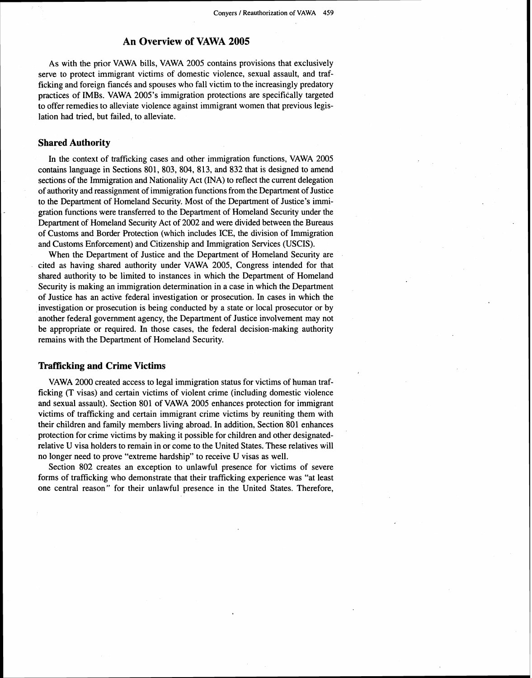# **An Overview of VAWA 2005**

As with the prior VAWA bills, VAWA 2005 contains provisions that exclusively serve to protect immigrant victims of domestic violence, sexual assault, and trafficking and foreign fiancés and spouses who fall victim to the increasingly predatory practices of IMBs. VAWA 2005's immigration protections are specifically targeted to offer remedies to alleviate violence against immigrant women that previous legislation had tried, but failed, to alleviate.

#### **Shared Authority**

In the context of trafficking cases and other immigration functions, VAWA 2005 contains language in Sections 801, 803, 804, 813, and 832 that is designed to amend sections of the Immigration and Nationality Act (INA) to reflect the current delegation of authority and reassignment of immigration functions from the Department of Justice to the Department of Homeland Security. Most of the Department of Justice's immigration functions were transferred to the Department of Homeland Security under the Department of Homeland Security Act of 2002 and were divided between the Bureaus of Customs and Border Protection (which includes ICE, the division of Immigration and Customs Enforcement) and Citizenship and Immigration Services (USCIS).

When the Department of Justice and the Department of Homeland Security are cited as having shared authority under VAWA 2005, Congress intended for that shared authority to be limited to instances in which the Department of Homeland Security is making an immigration determination in a case in which the Department of Justice has an active federal investigation or prosecution. In cases in which the investigation or prosecution is being conducted by a state or local prosecutor or by another federal government agency, the Department of Justice involvement may not be appropriate or required. In those cases, the federal decision-making authority remains with the Department of Homeland Security.

#### **Trafficking and Crime Victims**

VAWA 2000 created access to legal immigration status for victims of human trafficking (T visas) and certain victims of violent crime (including domestic violence and sexual assault). Section 801 of VAWA 2005 enhances protection for immigrant victims of trafficking and certain immigrant crime victims by reuniting them with their children and family members living abroad. In addition, Section 801 enhances protection for crime victims by making it possible for children and other designatedrelative U visa holders to remain in or come to the United States. These relatives will no longer need to prove "extreme hardship" to receive U visas as well.

Section 802 creates an exception to unlawful presence for victims of severe forms of trafficking who demonstrate that their trafficking experience was "at least one central reason" for their unlawful presence in the United States. Therefore,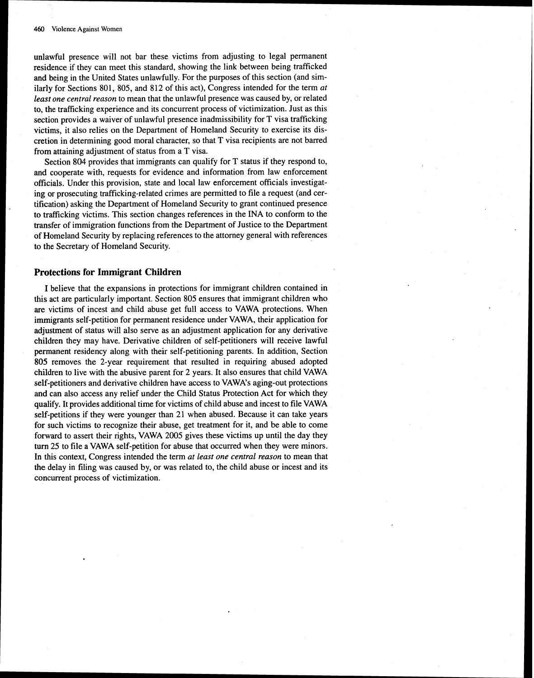unlawful presence will not bar these victims from adjusting to legal permanent residence if they can meet this standard, showing the link between being trafficked and being in the United States unlawfully. For the purposes of this section (and similarly for Sections 801, 805, and 812 of this act), Congress intended for the term *at least one central reason* to mean that the unlawful presence was caused by, or related to, the trafficking experience and its concurrent process of victimization. Just as this section provides a waiver of unlawful presence inadmissibility for T visa trafficking victims, it also relies on the Department of Homeland Security to exercise its discretion in determining good moral character, so that T visa recipients are not barred from attaining adjustment of status from a T visa.

Section 804 provides that immigrants can qualify for T status if they respond to, and cooperate with, requests for evidence and information from law enforcement officials. Under this provision, state and local law enforcement officials investigating or prosecuting trafficking-related crimes are permitted to file a request (and certification) asking the Department of Homeland Security to grant continued presence to trafficking victims. This section changes references in the INA to conform to the transfer of immigration functions from the Department of Justice to the Department of Homeland Security by replacing references to the attorney general with references to the Secretary of Homeland Security.

#### **Protections for Immigrant Children**

I believe that the expansions in protections for immigrant children contained in this act are particularly important. Section 805 ensures that immigrant children who are victims of incest and child abuse get full access to VAWA protections. When immigrants self-petition for permanent residence under VAWA, their application for adjustment of status will also serve as an adjustment application for any derivative children they may have. Derivative children of self-petitioners will receive lawful permanent residency along with their self-petitioning parents. In addition, Section 805 removes the 2-year requirement that resulted in requiring abused adopted children to live with the abusive parent for 2 years. It also ensures that child VAWA self-petitioners and derivative children have access to VAWA's aging-out protections and can also access any relief under the Child Status Protection Act for which they qualify. It provides additional time for victims of child abuse and incest to file VAWA self-petitions if they were younger than 21 when abused. Because it can take years for such victims to recognize their abuse, get treatment for it, and be able to come forward to assert their rights, VAWA 2005 gives these victims up until the day they turn 25 to file a VAWA self-petition for abuse that occurred when they were minors. In this context, Congress intended the term *at least one central reason* to mean that the delay in filing was caused by, or was related to, the child abuse or incest and its concurrent process of victimization.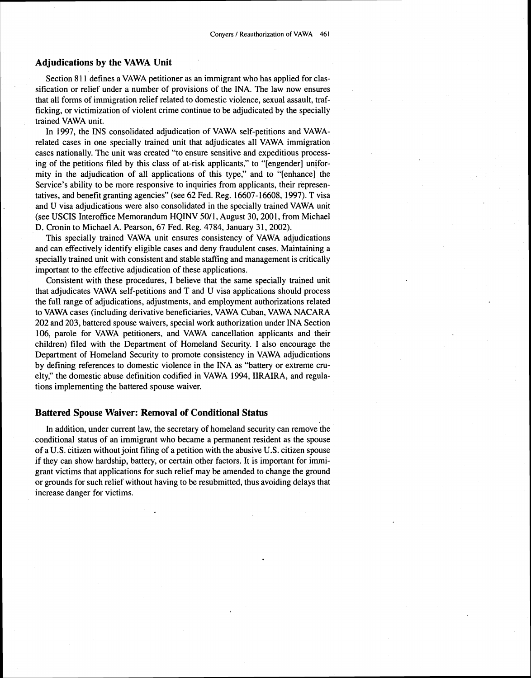#### **Adjudications by the VAWA Unit**

Section 811 defines a VAWA petitioner as an immigrant who has applied for classification or relief under a number of provisions of the INA. The law now ensures that all forms of immigration relief related to domestic violence, sexual assault, trafficking, or victimization of violent crime continue to be adjudicated by the specially trained VAWA unit.

In 1997, the INS consolidated adjudication of VAWA self-petitions and VAWArelated cases in one specially trained unit that adjudicates all VAWA immigration cases nationally. The unit was created "to ensure sensitive and expeditious processing of the petitions filed by this class of at-risk applicants," to "[engender] uniformity in the adjudication of all applications of this type," and to "[enhance] the Service's ability to be more responsive to inquiries from applicants, their representatives, and benefit granting agencies" (see 62 Fed. Reg. 16607-16608, 1997). T visa and U visa adjudications were also consolidated in the specially trained VAWA unit (see USCIS Interoffice Memorandum HQINV 50/1, August 30, 2001, from Michael D. Cronin to Michael A. Pearson, 67 Fed. Reg. 4784, January 31, 2002).

This specially trained VAWA unit ensures consistency of VAWA adjudications and can effectively identify eligible cases and deny fraudulent cases. Maintaining a specially trained unit with consistent and stable staffing and management is critically important to the effective adjudication of these applications.

Consistent with these procedures, I believe that the same specially trained unit that adjudicates VAWA self-petitions and T and U visa applications should process the full range of adjudications, adjustments, and employment authorizations related to VAWA cases (including derivative beneficiaries, VAWA Cuban, VAWA NACARA 202 and 203, battered spouse waivers, special work authorization under INA Section 106, parole for VAWA petitioners, and VAWA cancellation applicants and their children) filed with the Department of Homeland Security. I also encourage the Department of Homeland Security to promote consistency in VAWA adjudications by defining references to domestic violence in the INA as "battery or extreme cruelty," the domestic abuse definition codified in VAWA 1994, IIRAIRA, and regulations implementing the battered spouse waiver.

#### **Battered Spouse Waiver: Removal of Conditional Status**

In addition, under current law, the secretary of homeland security can remove the conditional status of an immigrant who became a permanent resident as the spouse of a U.S. citizen without joint filing of a petition with the abusive U.S. citizen spouse if they can show hardship, battery, or certain other factors. It is important for immigrant victims that applications for such relief may be amended to change the ground or grounds for such relief without having to be resubmitted, thus avoiding delays that increase danger for victims.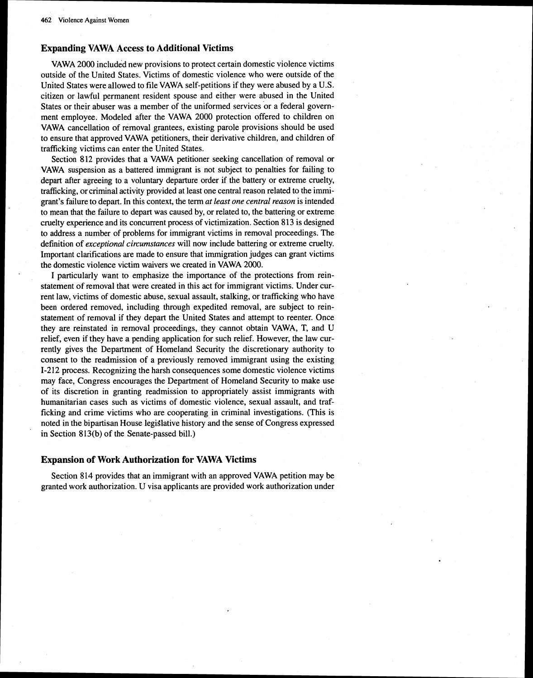#### **Expanding VAWA Access to Additional Victims**

**VAWA** 2000 included new provisions to protect certain domestic violence victims outside of the United States. Victims of domestic violence who were outside of the United States were allowed to file **VAWA** self-petitions if they were abused by a U.S. citizen or lawful permanent resident spouse and either were abused in the United States or their abuser was a member of the uniformed services or a federal government employee. Modeled after the **VAWA** 2000 protection offered to children on **VAWA** cancellation of removal grantees, existing parole provisions should be used to ensure that approved **VAWA** petitioners, their derivative children, and children of trafficking victims can enter the United States.

Section 812 provides that a **VAWA** petitioner seeking cancellation of removal or **VAWA** suspension as a battered immigrant is not subject to penalties for failing to depart after agreeing to a voluntary departure order if the battery or extreme cruelty, trafficking, or criminal activity provided at least one central reason related to the immigrant's failure to depart. In this context, the term *at least one central reason* is intended to mean that the failure to depart was caused by, or related to, the battering or extreme cruelty experience and its concurrent process of victimization. Section 813 is designed to address a number of problems for immigrant victims in removal proceedings. The definition of *exceptional circumstances* will now include battering or extreme cruelty. Important clarifications are made to ensure that immigration judges can grant victims the domestic violence victim waivers we created in **VAWA** 2000.

I particularly want to emphasize the importance of the protections from reinstatement of removal that were created in this act for immigrant victims. Under current law, victims of domestic abuse, sexual assault, stalking, or trafficking who have been ordered removed, including through expedited removal, are subject to reinstatement of removal if they depart the United States and attempt to reenter. Once they are reinstated in removal proceedings, they cannot obtain **VAWA,** T, and U relief, even if they have a pending application for such relief. However, the law currently gives the Department of Homeland Security the discretionary authority to consent to the readmission of a previously removed immigrant using the existing 1-212 process. Recognizing the harsh consequences some domestic violence victims may face, Congress encourages the Department of Homeland Security to make use of its discretion in granting readmission to appropriately assist immigrants with humanitarian cases such as victims of domestic violence, sexual assault, and trafficking and crime victims who are cooperating in criminal investigations. (This is noted in the bipartisan House legislative history and the sense of Congress expressed in Section 813(b) of the Senate-passed bill.)

#### **Expansion of Work Authorization for VAWA Victims**

Section 814 provides that an immigrant with an approved **VAWA** petition may be granted work authorization. U visa applicants are provided work authorization under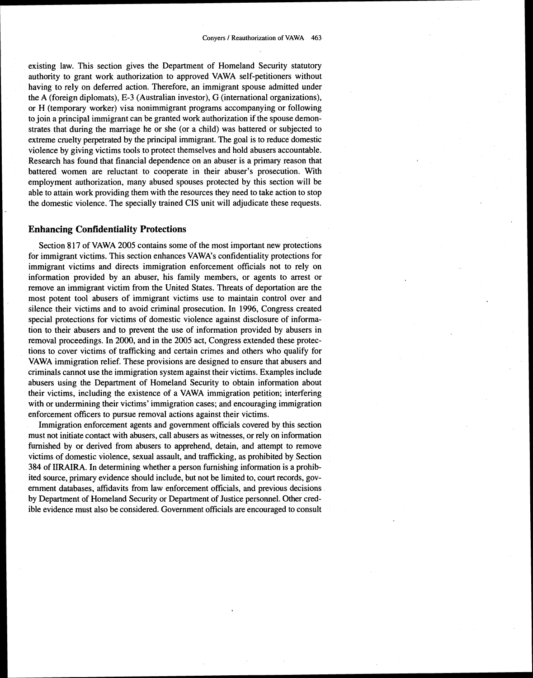existing law. This section gives the Department of Homeland Security statutory authority to grant work authorization to approved VAWA self-petitioners without having to rely on deferred action. Therefore, an immigrant spouse admitted under the A (foreign diplomats), E-3 (Australian investor), G (international organizations), or H (temporary worker) visa nonimmigrant programs accompanying or following to join a principal immigrant can be granted work authorization if the spouse demonstrates that during the marriage he or she (or a child) was battered or subjected to extreme cruelty perpetrated by the principal immigrant. The goal is to reduce domestic violence by giving victims tools to protect themselves and hold abusers accountable. Research has found that financial dependence on an abuser is a primary reason that battered women are reluctant to cooperate in their abuser's prosecution. With employment authorization, many abused spouses protected by this section will be able to attain work providing them with the resources they need to take action to stop the domestic violence. The specially trained CIS unit will adjudicate these requests.

#### **Enhancing Confidentiality Protections**

Section 8 17 of VAWA 2005 contains some of the most important new protections for immigrant victims. This section enhances VAWA's confidentiality protections for immigrant victims and directs immigration enforcement officials not to rely on information provided by an abuser, his family members, or agents to arrest or remove an immigrant victim from the United States. Threats of deportation are the most potent tool abusers of immigrant victims use to maintain control over and silence their victims and to avoid criminal prosecution. In 1996, Congress created special protections for victims of domestic violence against disclosure of information to their abusers and to prevent the use of information provided by abusers in removal proceedings. In 2000, and in the 2005 act, Congress extended these protections to cover victims of trafficking and certain crimes and others who qualify for VAWA immigration relief. These provisions are designed to ensure that abusers and criminals cannot use the immigration system against their victims. Examples include abusers using the Department of Homeland Security to obtain information about their victims, including the existence of a VAWA immigration petition; interfering with or undermining their victims' immigration cases; and encouraging immigration enforcement officers to pursue removal actions against their victims.

Immigration enforcement agents and government officials covered by this section must not initiate contact with abusers, call abusers as witnesses, or rely on information furnished by or derived from abusers to apprehend, detain, and attempt to remove victims of domestic violence, sexual assault, and trafficking, as prohibited by Section 384 of IIRAIRA. In determining whether a person furnishing information is a prohibited source, primary evidence should include, but not be limited to, court records, government databases, affidavits from law enforcement officials, and previous decisions by Department of Homeland Security or Department of Justice personnel. Other credible evidence must also be considered. Government officials are encouraged to consult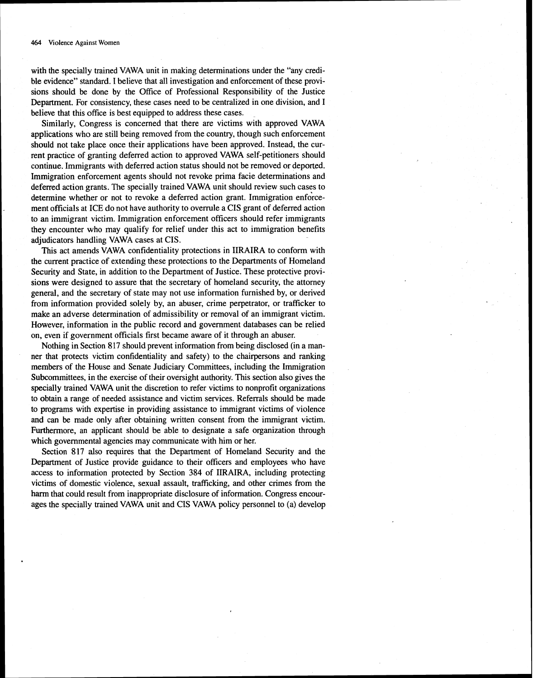with the specially trained VAWA unit in making determinations under the "any credible evidence" standard. I believe that all investigation and enforcement of these provisions should be done by the Office of Professional Responsibility of the Justice Department. For consistency, these cases need to be centralized in one division, and I believe that this office is best equipped to address these cases.

Similarly, Congress is concerned that there are victims with approved VAWA applications who are still being removed from the country, though such enforcement should not take place once their applications have been approved. Instead, the current practice of granting deferred action to approved VAWA self-petitioners should continue. Immigrants with deferred action status should not be removed or deported. Immigration enforcement agents should not revoke prima facie determinations and deferred action grants. The specially trained VAWA unit should review such cases to determine whether or not to revoke a deferred action grant. Immigration enforcement officials at ICE do not have authority to overrule a CIS grant of deferred action to an immigrant victim. Immigration enforcement officers should refer immigrants they encounter who may qualify for relief under this act to immigration benefits adjudicators handling VAWA cases at CIS.

This act amends VAWA confidentiality protections in IIRAIRA to conform with the current practice of extending these protections to the Departments of Homeland Security and State, in addition to the Department of Justice. These protective provisions were designed to assure that the secretary of homeland security, the attorney general, and the secretary of state may not use information furnished by, or derived from information provided solely by, an abuser, crime perpetrator, or trafficker to make an adverse determination of admissibility or removal of an immigrant victim. However, information in the public record and government databases can be relied on, even if government officials first became aware of it through an abuser.

Nothing in Section 817 should prevent information from being disclosed (in a manner that protects victim confidentiality and safety) to the chairpersons and ranking members of the House and Senate Judiciary Committees, including the Immigration Subcommittees, in the exercise of their oversight authority. This section also gives the specially trained VAWA unit the discretion to refer victims to nonprofit organizations to obtain a range of needed assistance and victim services. Referrals should be made to programs with expertise in providing assistance to immigrant victims of violence and can be made only after obtaining written consent from the immigrant victim. Furthermore, an applicant should be able to designate a safe organization through which governmental agencies may communicate with him or her.

Section 817 also requires that the Department of Homeland Security and the Department of Justice provide guidance to their officers and employees who have access to information protected by Section 384 of IIRAIRA, including protecting victims of domestic violence, sexual assault, trafficking, and other crimes from the harm that could result from inappropriate disclosure of information. Congress encourages the specially trained VAWA unit and CIS VAWA policy personnel to (a) develop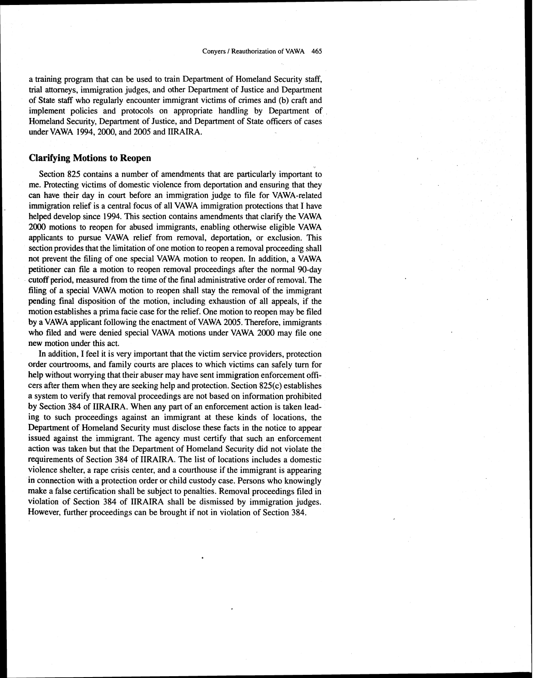a training program that can be used to train Department of Homeland Security staff, trial attorneys, immigration judges, and other Department of Justice and Department of State staff who regularly encounter immigrant victims of crimes and (b) craft and implement policies and protocols on appropriate handling by Department of Homeland Security, Department of Justice, and Department of State officers of cases under VAWA 1994,2000, and 2005 and IIRAIRA.

#### **Clarifying Motions to Reopen**

Section 825 contains a number of amendments that are particularly important to me. Protecting victims of domestic violence from deportation and ensuring that they can have their day in court before an immigration judge to file for VAWA-related immigration relief is a central focus of all VAWA immigration protections that I have helped develop since 1994. This section contains amendments that clarify the VAWA 2000 motions to reopen for abused immigrants, enabling otherwise eligible VAWA applicants to pursue VAWA relief from removal, deportation, or exclusion. This section provides that the limitation of one motion to reopen a removal proceeding shall not prevent the filing of one special VAWA motion to reopen. In addition, a VAWA petitioner can file a motion to reopen removal proceedings after the normal 90-day cutoff period, measured from the time of the final administrative order of removal. The filing of a special VAWA motion to reopen shall stay the removal of the immigrant pending final disposition of the motion, including exhaustion of all appeals, if the motion establishes a prima facie case for the relief. One motion to reopen may be filed by a VAWA applicant following the enactment of VAWA 2005. Therefore, immigrants who filed and were denied special VAWA motions under VAWA 2000 may file one new motion under this act.

In addition, I feel it is very important that the victim service providers, protection order courtrooms, and family courts are places to which victims can safely turn for help without worrying that their abuser may have sent immigration enforcement ofticers after them when they are seeking help and protection. Section 825(c) establishes a system to verify that removal proceedings are not based on information prohibited by Section 384 of IIRAIRA. When any part of an enforcement action is taken leading to such proceedings against an immigrant at these kinds of locations, the Department of Homeland Security must disclose these facts in the notice to appear issued against the immigrant. The agency must certify that such an enforcement action was taken but that the Department of Homeland Security did not violate the requirements of Section 384 of IIRAIRA. The list of locations includes a domestic violence shelter, a rape crisis center, and a courthouse if the immigrant is appearing in connection with a protection order or child custody case. Persons who knowingly make a false certification shall be subject to penalties. Removal proceedings filed in violation of Section 384 of IIRAIRA shall be dismissed by immigration judges. However, further proceedings can be brought if not in violation of Section 384.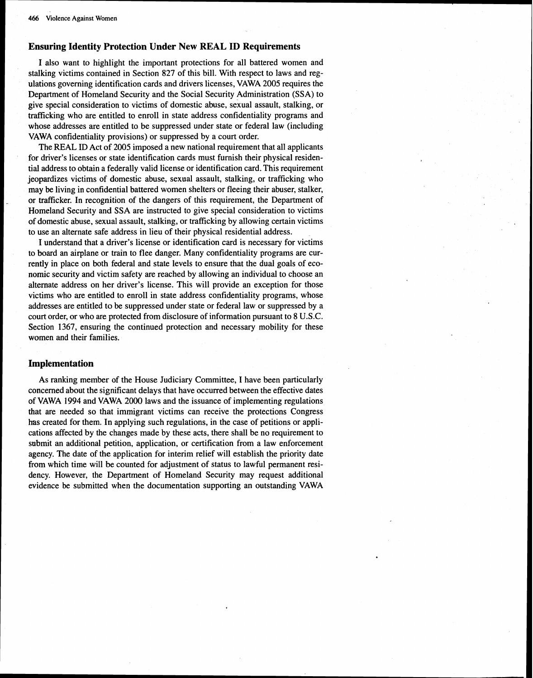# **Ensuring Identity Protection Under New REAL ID Requirements**

I also want to highlight the important protections for all battered women and stalking victims contained in Section 827 of this bill. With respect to laws and regulations governing identification cards and drivers licenses, VAWA 2005 requires the Department of Homeland Security and the Social Security Administration (SSA) to give special consideration to victims of domestic abuse, sexual assault, stalking, or trafficking who are entitled to enroll in state address confidentiality programs and whose addresses are entitled to be suppressed under state or federal law (including VAWA confidentiality provisions) or suppressed by a court order.

The REAL ID Act of 2005 imposed a new national requirement that all applicants for driver's licenses or state identification cards must furnish their physical residential address to obtain a federally valid license or identification card. This requirement jeopardizes victims of domestic abuse, sexual assault, stalking, or trafficking who may be living in confidential battered women shelters or fleeing their abuser, stalker, or trafficker. In recognition of the dangers of this requirement, the Department of Homeland Security and SSA are instructed to give special consideration to victims of domestic abuse, sexual assault, stalking, or trafficking by allowing certain victims to use an alternate safe address in lieu of their physical residential address.

I understand that a driver's license or identification card is necessary for victims to board an airplane or train to flee danger. Many confidentiality programs are currently in place on both federal and state levels to ensure that the dual goals of economic security and victim safety are reached by allowing an individual to choose an alternate address on her driver's license. This will provide an exception for those victims who are entitled to enroll in state address confidentiality programs, whose addresses are entitled to be suppressed under state or federal law or suppressed by a court order, or who are protected from disclosure of information pursuant to 8 U.S.C. Section 1367, ensuring the continued protection and necessary mobility for these women and their families.

#### **Implementation**

As ranking member of the House Judiciary Committee, I have been particularly concerned about the significant delays that have occurred between the effective dates of VAWA 1994 and VAWA 2000 laws and the issuance of implementing regulations that are needed so that immigrant victims can receive the protections Congress has created for them. In applying such regulations, in the case of petitions or applications affected by the changes made by these acts, there shall be no requirement to submit an additional petition, application, or certification from a law enforcement agency. The date of the application for interim relief will establish the priority date from which time will be counted for adjustment of status to lawful permanent residency. However, the Department of Homeland Security may request additional evidence be submitted when the documentation supporting an outstanding VAWA